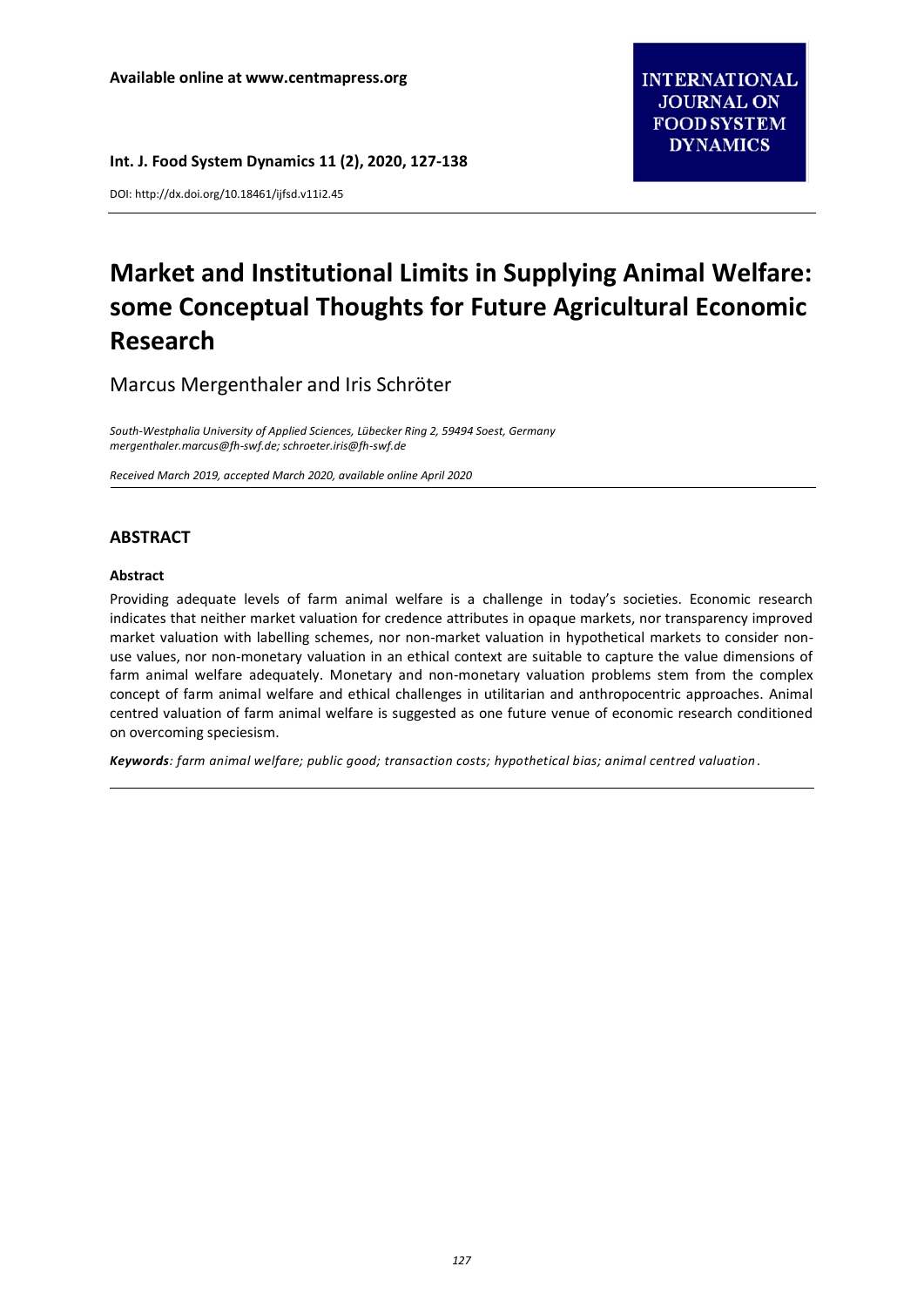DOI[: http://dx.doi.org/10.18461/ijfsd.v11i2.45](http://dx.doi.org/10.18461/ijfsd.v10i5.28)

# **Market and Institutional Limits in Supplying Animal Welfare: some Conceptual Thoughts for Future Agricultural Economic Research**

Marcus Mergenthaler and Iris Schröter

*South-Westphalia University of Applied Sciences, Lübecker Ring 2, 59494 Soest, Germany [mergenthaler.marcus@fh-swf.de;](mailto:mergenthaler.marcus@fh-swf.de) [schroeter.iris@fh-swf.de](mailto:schroeter.iris@fh-swf.de)*

*Received March 2019, accepted March 2020, available online April 2020*

## **ABSTRACT**

#### **Abstract**

Providing adequate levels of farm animal welfare is a challenge in today's societies. Economic research indicates that neither market valuation for credence attributes in opaque markets, nor transparency improved market valuation with labelling schemes, nor non-market valuation in hypothetical markets to consider nonuse values, nor non-monetary valuation in an ethical context are suitable to capture the value dimensions of farm animal welfare adequately. Monetary and non-monetary valuation problems stem from the complex concept of farm animal welfare and ethical challenges in utilitarian and anthropocentric approaches. Animal centred valuation of farm animal welfare is suggested as one future venue of economic research conditioned on overcoming speciesism.

*Keywords: farm animal welfare; public good; transaction costs; hypothetical bias; animal centred valuation .*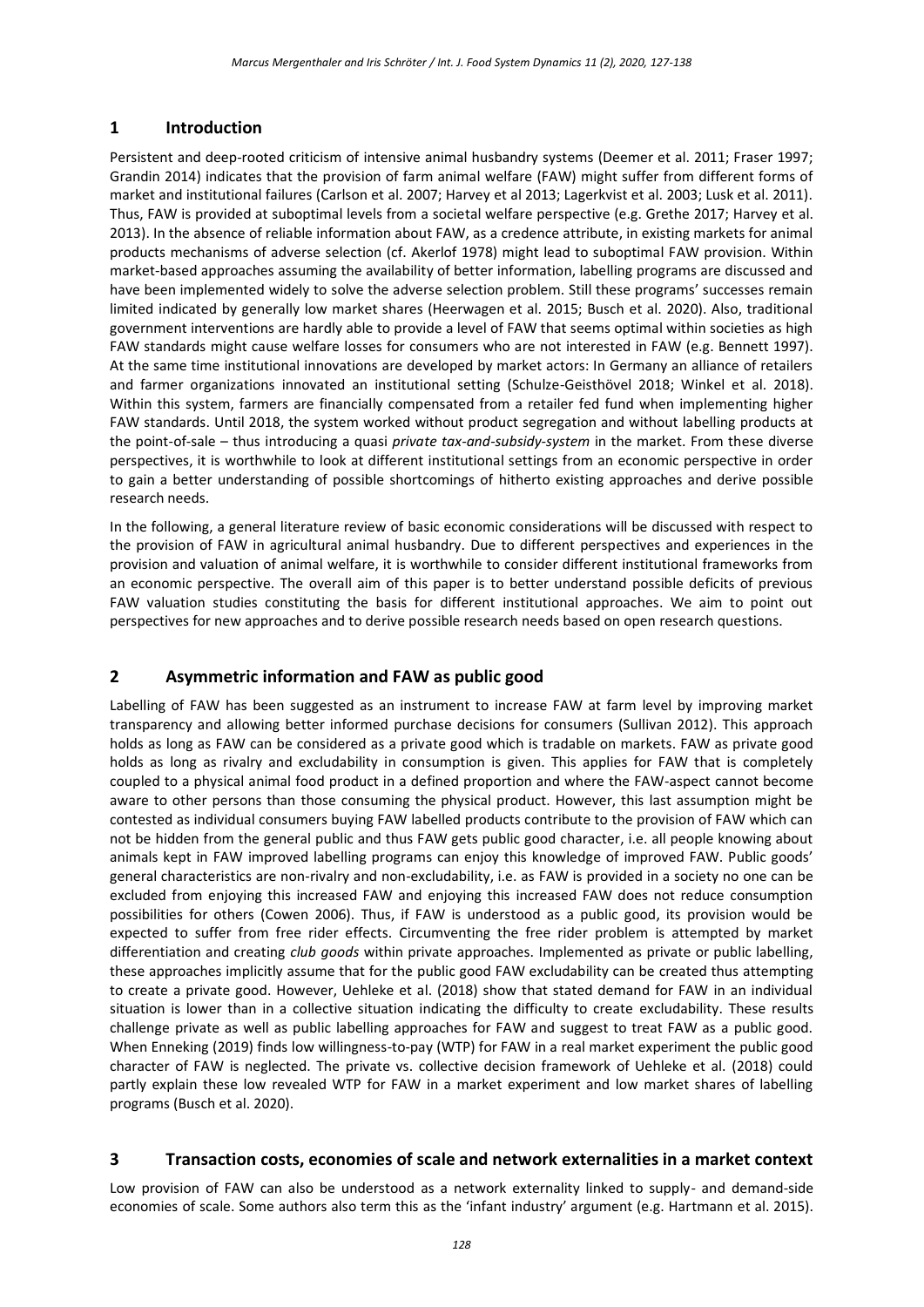## **1 Introduction**

Persistent and deep-rooted criticism of intensive animal husbandry systems (Deemer et al. 2011; Fraser 1997; Grandin 2014) indicates that the provision of farm animal welfare (FAW) might suffer from different forms of market and institutional failures (Carlson et al. 2007; Harvey et al 2013; Lagerkvist et al. 2003; Lusk et al. 2011). Thus, FAW is provided at suboptimal levels from a societal welfare perspective (e.g. Grethe 2017; Harvey et al. 2013). In the absence of reliable information about FAW, as a credence attribute, in existing markets for animal products mechanisms of adverse selection (cf. Akerlof 1978) might lead to suboptimal FAW provision. Within market-based approaches assuming the availability of better information, labelling programs are discussed and have been implemented widely to solve the adverse selection problem. Still these programs' successes remain limited indicated by generally low market shares (Heerwagen et al. 2015; Busch et al. 2020). Also, traditional government interventions are hardly able to provide a level of FAW that seems optimal within societies as high FAW standards might cause welfare losses for consumers who are not interested in FAW (e.g. Bennett 1997). At the same time institutional innovations are developed by market actors: In Germany an alliance of retailers and farmer organizations innovated an institutional setting (Schulze-Geisthövel 2018; Winkel et al. 2018). Within this system, farmers are financially compensated from a retailer fed fund when implementing higher FAW standards. Until 2018, the system worked without product segregation and without labelling products at the point-of-sale – thus introducing a quasi *private tax-and-subsidy-system* in the market. From these diverse perspectives, it is worthwhile to look at different institutional settings from an economic perspective in order to gain a better understanding of possible shortcomings of hitherto existing approaches and derive possible research needs.

In the following, a general literature review of basic economic considerations will be discussed with respect to the provision of FAW in agricultural animal husbandry. Due to different perspectives and experiences in the provision and valuation of animal welfare, it is worthwhile to consider different institutional frameworks from an economic perspective. The overall aim of this paper is to better understand possible deficits of previous FAW valuation studies constituting the basis for different institutional approaches. We aim to point out perspectives for new approaches and to derive possible research needs based on open research questions.

## **2 Asymmetric information and FAW as public good**

Labelling of FAW has been suggested as an instrument to increase FAW at farm level by improving market transparency and allowing better informed purchase decisions for consumers (Sullivan 2012). This approach holds as long as FAW can be considered as a private good which is tradable on markets. FAW as private good holds as long as rivalry and excludability in consumption is given. This applies for FAW that is completely coupled to a physical animal food product in a defined proportion and where the FAW-aspect cannot become aware to other persons than those consuming the physical product. However, this last assumption might be contested as individual consumers buying FAW labelled products contribute to the provision of FAW which can not be hidden from the general public and thus FAW gets public good character, i.e. all people knowing about animals kept in FAW improved labelling programs can enjoy this knowledge of improved FAW. Public goods' general characteristics are non-rivalry and non-excludability, i.e. as FAW is provided in a society no one can be excluded from enjoying this increased FAW and enjoying this increased FAW does not reduce consumption possibilities for others (Cowen 2006). Thus, if FAW is understood as a public good, its provision would be expected to suffer from free rider effects. Circumventing the free rider problem is attempted by market differentiation and creating *club goods* within private approaches. Implemented as private or public labelling, these approaches implicitly assume that for the public good FAW excludability can be created thus attempting to create a private good. However, Uehleke et al. (2018) show that stated demand for FAW in an individual situation is lower than in a collective situation indicating the difficulty to create excludability. These results challenge private as well as public labelling approaches for FAW and suggest to treat FAW as a public good. When Enneking (2019) finds low willingness-to-pay (WTP) for FAW in a real market experiment the public good character of FAW is neglected. The private vs. collective decision framework of Uehleke et al. (2018) could partly explain these low revealed WTP for FAW in a market experiment and low market shares of labelling programs (Busch et al. 2020).

## **3 Transaction costs, economies of scale and network externalities in a market context**

Low provision of FAW can also be understood as a network externality linked to supply- and demand-side economies of scale. Some authors also term this as the 'infant industry' argument (e.g. Hartmann et al. 2015).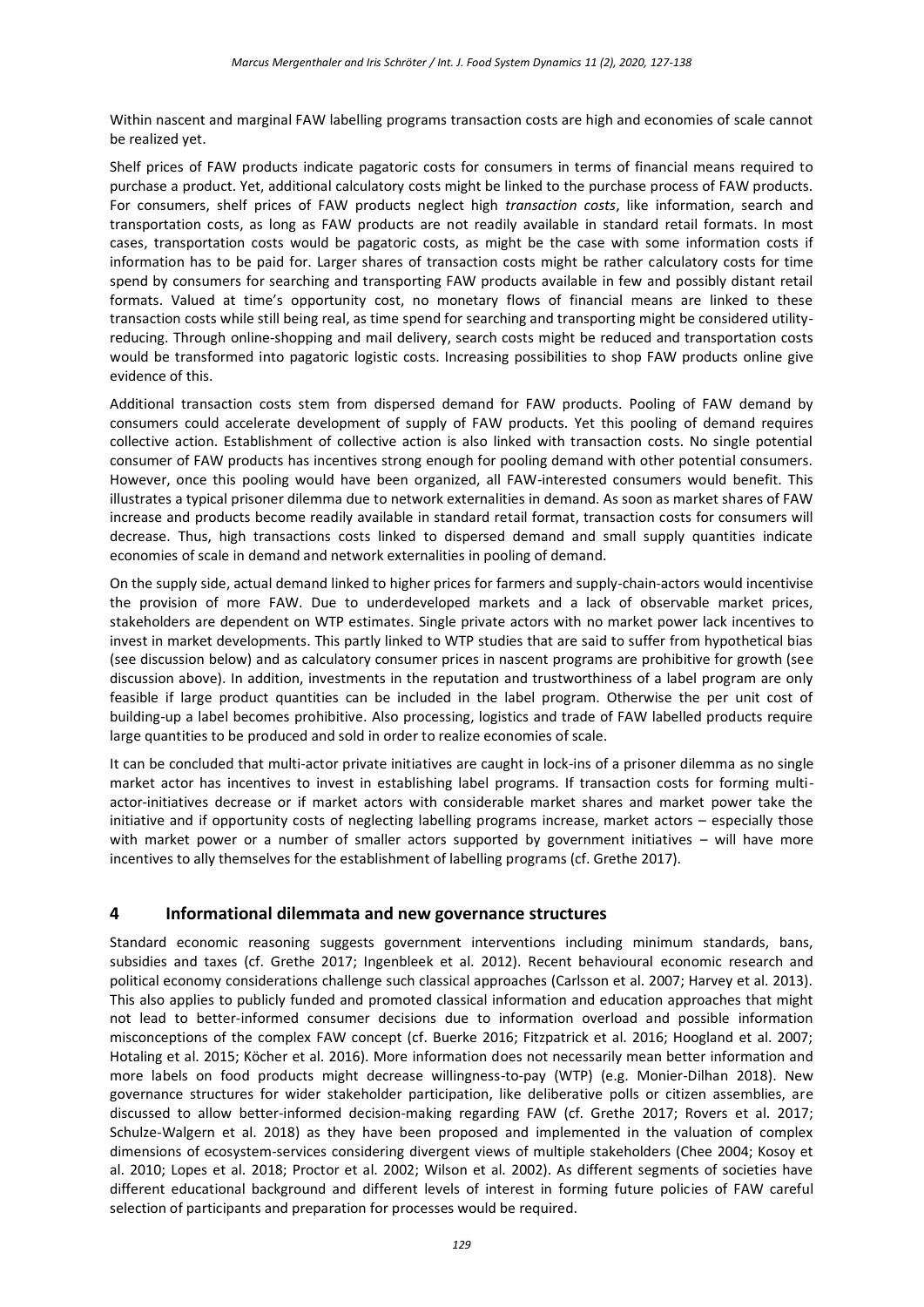Within nascent and marginal FAW labelling programs transaction costs are high and economies of scale cannot be realized yet.

Shelf prices of FAW products indicate pagatoric costs for consumers in terms of financial means required to purchase a product. Yet, additional calculatory costs might be linked to the purchase process of FAW products. For consumers, shelf prices of FAW products neglect high *transaction costs*, like information, search and transportation costs, as long as FAW products are not readily available in standard retail formats. In most cases, transportation costs would be pagatoric costs, as might be the case with some information costs if information has to be paid for. Larger shares of transaction costs might be rather calculatory costs for time spend by consumers for searching and transporting FAW products available in few and possibly distant retail formats. Valued at time's opportunity cost, no monetary flows of financial means are linked to these transaction costs while still being real, as time spend for searching and transporting might be considered utilityreducing. Through online-shopping and mail delivery, search costs might be reduced and transportation costs would be transformed into pagatoric logistic costs. Increasing possibilities to shop FAW products online give evidence of this.

Additional transaction costs stem from dispersed demand for FAW products. Pooling of FAW demand by consumers could accelerate development of supply of FAW products. Yet this pooling of demand requires collective action. Establishment of collective action is also linked with transaction costs. No single potential consumer of FAW products has incentives strong enough for pooling demand with other potential consumers. However, once this pooling would have been organized, all FAW-interested consumers would benefit. This illustrates a typical prisoner dilemma due to network externalities in demand. As soon as market shares of FAW increase and products become readily available in standard retail format, transaction costs for consumers will decrease. Thus, high transactions costs linked to dispersed demand and small supply quantities indicate economies of scale in demand and network externalities in pooling of demand.

On the supply side, actual demand linked to higher prices for farmers and supply-chain-actors would incentivise the provision of more FAW. Due to underdeveloped markets and a lack of observable market prices, stakeholders are dependent on WTP estimates. Single private actors with no market power lack incentives to invest in market developments. This partly linked to WTP studies that are said to suffer from hypothetical bias (see discussion below) and as calculatory consumer prices in nascent programs are prohibitive for growth (see discussion above). In addition, investments in the reputation and trustworthiness of a label program are only feasible if large product quantities can be included in the label program. Otherwise the per unit cost of building-up a label becomes prohibitive. Also processing, logistics and trade of FAW labelled products require large quantities to be produced and sold in order to realize economies of scale.

It can be concluded that multi-actor private initiatives are caught in lock-ins of a prisoner dilemma as no single market actor has incentives to invest in establishing label programs. If transaction costs for forming multiactor-initiatives decrease or if market actors with considerable market shares and market power take the initiative and if opportunity costs of neglecting labelling programs increase, market actors – especially those with market power or a number of smaller actors supported by government initiatives – will have more incentives to ally themselves for the establishment of labelling programs (cf. Grethe 2017).

## **4 Informational dilemmata and new governance structures**

Standard economic reasoning suggests government interventions including minimum standards, bans, subsidies and taxes (cf. Grethe 2017; Ingenbleek et al. 2012). Recent behavioural economic research and political economy considerations challenge such classical approaches (Carlsson et al. 2007; Harvey et al. 2013). This also applies to publicly funded and promoted classical information and education approaches that might not lead to better-informed consumer decisions due to information overload and possible information misconceptions of the complex FAW concept (cf. Buerke 2016; Fitzpatrick et al. 2016; Hoogland et al. 2007; Hotaling et al. 2015; Köcher et al. 2016). More information does not necessarily mean better information and more labels on food products might decrease willingness-to-pay (WTP) (e.g. Monier-Dilhan 2018). New governance structures for wider stakeholder participation, like deliberative polls or citizen assemblies, are discussed to allow better-informed decision-making regarding FAW (cf. Grethe 2017; Rovers et al. 2017; Schulze-Walgern et al. 2018) as they have been proposed and implemented in the valuation of complex dimensions of ecosystem-services considering divergent views of multiple stakeholders (Chee 2004; Kosoy et al. 2010; Lopes et al. 2018; Proctor et al. 2002; Wilson et al. 2002). As different segments of societies have different educational background and different levels of interest in forming future policies of FAW careful selection of participants and preparation for processes would be required.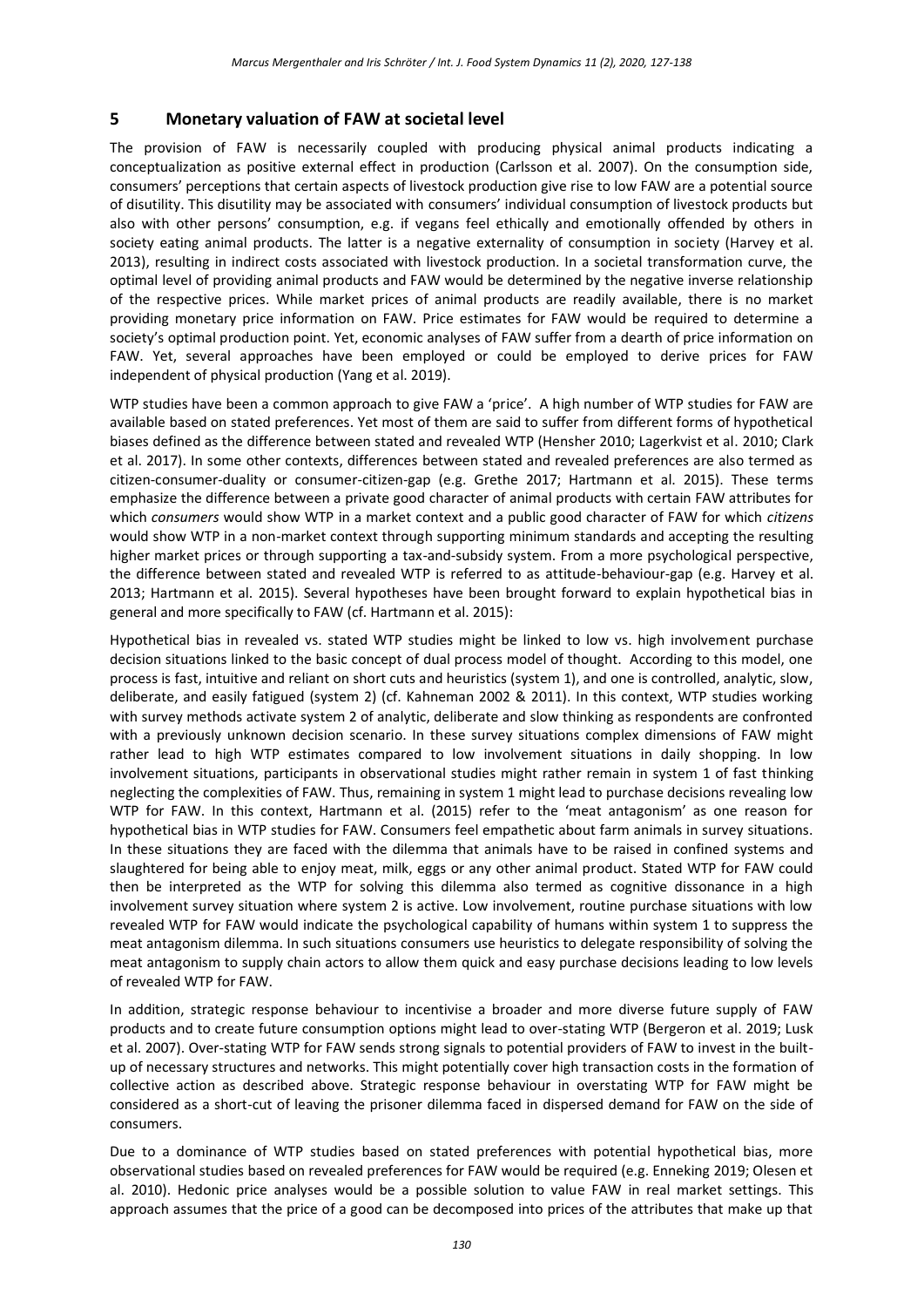## **5 Monetary valuation of FAW at societal level**

The provision of FAW is necessarily coupled with producing physical animal products indicating a conceptualization as positive external effect in production (Carlsson et al. 2007). On the consumption side, consumers' perceptions that certain aspects of livestock production give rise to low FAW are a potential source of disutility. This disutility may be associated with consumers' individual consumption of livestock products but also with other persons' consumption, e.g. if vegans feel ethically and emotionally offended by others in society eating animal products. The latter is a negative externality of consumption in society (Harvey et al. 2013), resulting in indirect costs associated with livestock production. In a societal transformation curve, the optimal level of providing animal products and FAW would be determined by the negative inverse relationship of the respective prices. While market prices of animal products are readily available, there is no market providing monetary price information on FAW. Price estimates for FAW would be required to determine a society's optimal production point. Yet, economic analyses of FAW suffer from a dearth of price information on FAW. Yet, several approaches have been employed or could be employed to derive prices for FAW independent of physical production (Yang et al. 2019).

WTP studies have been a common approach to give FAW a 'price'. A high number of WTP studies for FAW are available based on stated preferences. Yet most of them are said to suffer from different forms of hypothetical biases defined as the difference between stated and revealed WTP (Hensher 2010; Lagerkvist et al. 2010; Clark et al. 2017). In some other contexts, differences between stated and revealed preferences are also termed as citizen-consumer-duality or consumer-citizen-gap (e.g. Grethe 2017; Hartmann et al. 2015). These terms emphasize the difference between a private good character of animal products with certain FAW attributes for which *consumers* would show WTP in a market context and a public good character of FAW for which *citizens* would show WTP in a non-market context through supporting minimum standards and accepting the resulting higher market prices or through supporting a tax-and-subsidy system. From a more psychological perspective, the difference between stated and revealed WTP is referred to as attitude-behaviour-gap (e.g. Harvey et al. 2013; Hartmann et al. 2015). Several hypotheses have been brought forward to explain hypothetical bias in general and more specifically to FAW (cf. Hartmann et al. 2015):

Hypothetical bias in revealed vs. stated WTP studies might be linked to low vs. high involvement purchase decision situations linked to the basic concept of dual process model of thought. According to this model, one process is fast, intuitive and reliant on short cuts and heuristics (system 1), and one is controlled, analytic, slow, deliberate, and easily fatigued (system 2) (cf. Kahneman 2002 & 2011). In this context, WTP studies working with survey methods activate system 2 of analytic, deliberate and slow thinking as respondents are confronted with a previously unknown decision scenario. In these survey situations complex dimensions of FAW might rather lead to high WTP estimates compared to low involvement situations in daily shopping. In low involvement situations, participants in observational studies might rather remain in system 1 of fast thinking neglecting the complexities of FAW. Thus, remaining in system 1 might lead to purchase decisions revealing low WTP for FAW. In this context, Hartmann et al. (2015) refer to the 'meat antagonism' as one reason for hypothetical bias in WTP studies for FAW. Consumers feel empathetic about farm animals in survey situations. In these situations they are faced with the dilemma that animals have to be raised in confined systems and slaughtered for being able to enjoy meat, milk, eggs or any other animal product. Stated WTP for FAW could then be interpreted as the WTP for solving this dilemma also termed as cognitive dissonance in a high involvement survey situation where system 2 is active. Low involvement, routine purchase situations with low revealed WTP for FAW would indicate the psychological capability of humans within system 1 to suppress the meat antagonism dilemma. In such situations consumers use heuristics to delegate responsibility of solving the meat antagonism to supply chain actors to allow them quick and easy purchase decisions leading to low levels of revealed WTP for FAW.

In addition, strategic response behaviour to incentivise a broader and more diverse future supply of FAW products and to create future consumption options might lead to over-stating WTP (Bergeron et al. 2019; Lusk et al. 2007). Over-stating WTP for FAW sends strong signals to potential providers of FAW to invest in the builtup of necessary structures and networks. This might potentially cover high transaction costs in the formation of collective action as described above. Strategic response behaviour in overstating WTP for FAW might be considered as a short-cut of leaving the prisoner dilemma faced in dispersed demand for FAW on the side of consumers.

Due to a dominance of WTP studies based on stated preferences with potential hypothetical bias, more observational studies based on revealed preferences for FAW would be required (e.g. Enneking 2019; Olesen et al. 2010). Hedonic price analyses would be a possible solution to value FAW in real market settings. This approach assumes that the price of a good can be decomposed into prices of the attributes that make up that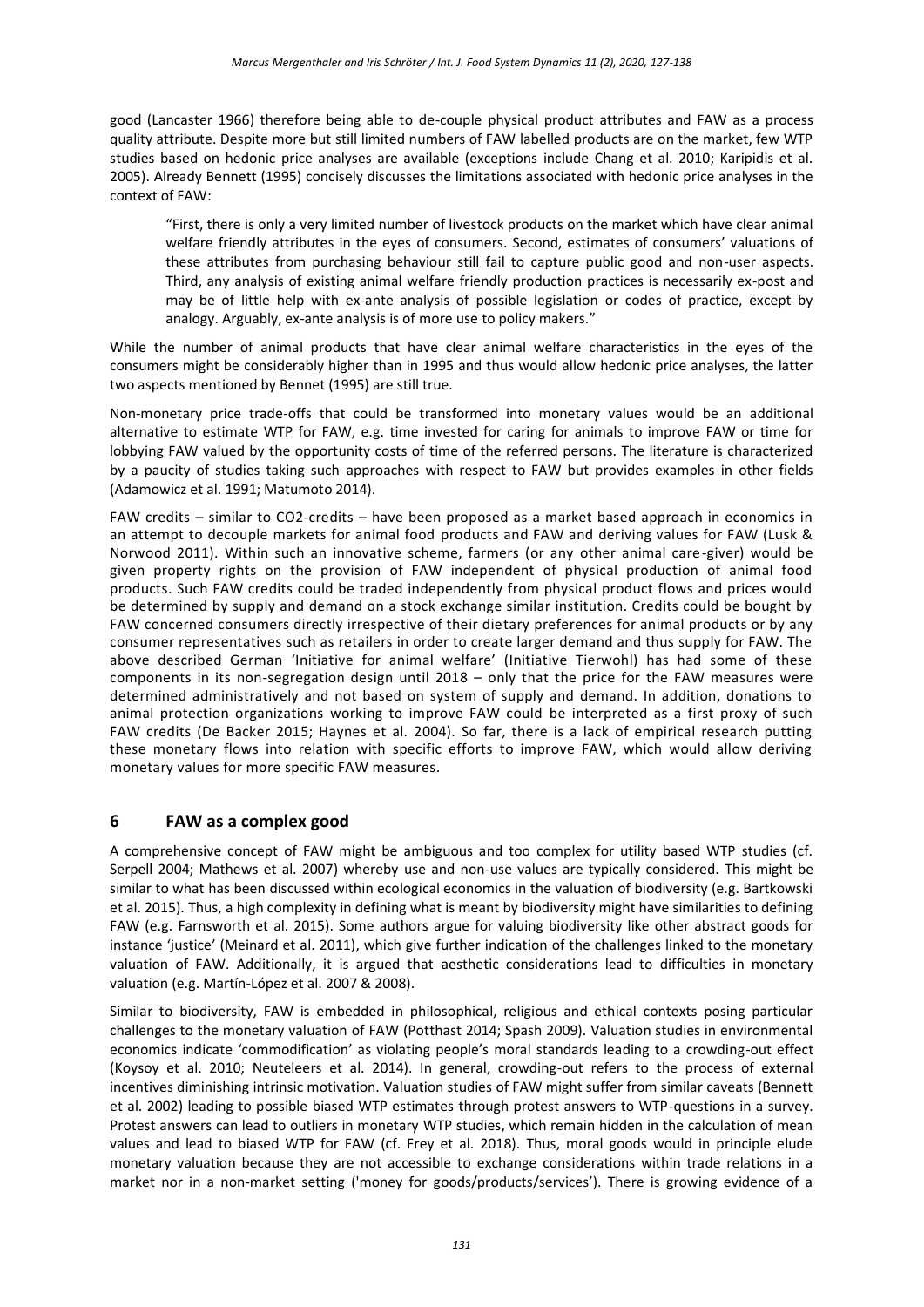good (Lancaster 1966) therefore being able to de-couple physical product attributes and FAW as a process quality attribute. Despite more but still limited numbers of FAW labelled products are on the market, few WTP studies based on hedonic price analyses are available (exceptions include Chang et al. 2010; Karipidis et al. 2005). Already Bennett (1995) concisely discusses the limitations associated with hedonic price analyses in the context of FAW:

"First, there is only a very limited number of livestock products on the market which have clear animal welfare friendly attributes in the eyes of consumers. Second, estimates of consumers' valuations of these attributes from purchasing behaviour still fail to capture public good and non-user aspects. Third, any analysis of existing animal welfare friendly production practices is necessarily ex-post and may be of little help with ex-ante analysis of possible legislation or codes of practice, except by analogy. Arguably, ex-ante analysis is of more use to policy makers."

While the number of animal products that have clear animal welfare characteristics in the eyes of the consumers might be considerably higher than in 1995 and thus would allow hedonic price analyses, the latter two aspects mentioned by Bennet (1995) are still true.

Non-monetary price trade-offs that could be transformed into monetary values would be an additional alternative to estimate WTP for FAW, e.g. time invested for caring for animals to improve FAW or time for lobbying FAW valued by the opportunity costs of time of the referred persons. The literature is characterized by a paucity of studies taking such approaches with respect to FAW but provides examples in other fields (Adamowicz et al. 1991; Matumoto 2014).

FAW credits – similar to CO2-credits – have been proposed as a market based approach in economics in an attempt to decouple markets for animal food products and FAW and deriving values for FAW (Lusk & Norwood 2011). Within such an innovative scheme, farmers (or any other animal care-giver) would be given property rights on the provision of FAW independent of physical production of animal food products. Such FAW credits could be traded independently from physical product flows and prices would be determined by supply and demand on a stock exchange similar institution. Credits could be bought by FAW concerned consumers directly irrespective of their dietary preferences for animal products or by any consumer representatives such as retailers in order to create larger demand and thus supply for FAW. The above described German 'Initiative for animal welfare' (Initiative Tierwohl) has had some of these components in its non-segregation design until 2018 – only that the price for the FAW measures were determined administratively and not based on system of supply and demand. In addition, donations to animal protection organizations working to improve FAW could be interpreted as a first proxy of such FAW credits (De Backer 2015; Haynes et al. 2004). So far, there is a lack of empirical research putting these monetary flows into relation with specific efforts to improve FAW, which would allow deriving monetary values for more specific FAW measures.

## **6 FAW as a complex good**

A comprehensive concept of FAW might be ambiguous and too complex for utility based WTP studies (cf. Serpell 2004; Mathews et al. 2007) whereby use and non-use values are typically considered. This might be similar to what has been discussed within ecological economics in the valuation of biodiversity (e.g. Bartkowski et al. 2015). Thus, a high complexity in defining what is meant by biodiversity might have similarities to defining FAW (e.g. Farnsworth et al. 2015). Some authors argue for valuing biodiversity like other abstract goods for instance 'justice' (Meinard et al. 2011), which give further indication of the challenges linked to the monetary valuation of FAW. Additionally, it is argued that aesthetic considerations lead to difficulties in monetary valuation (e.g. Martín-López et al. 2007 & 2008).

Similar to biodiversity, FAW is embedded in philosophical, religious and ethical contexts posing particular challenges to the monetary valuation of FAW (Potthast 2014; Spash 2009). Valuation studies in environmental economics indicate 'commodification' as violating people's moral standards leading to a crowding-out effect (Koysoy et al. 2010; Neuteleers et al. 2014). In general, crowding-out refers to the process of external incentives diminishing intrinsic motivation. Valuation studies of FAW might suffer from similar caveats (Bennett et al. 2002) leading to possible biased WTP estimates through protest answers to WTP-questions in a survey. Protest answers can lead to outliers in monetary WTP studies, which remain hidden in the calculation of mean values and lead to biased WTP for FAW (cf. Frey et al. 2018). Thus, moral goods would in principle elude monetary valuation because they are not accessible to exchange considerations within trade relations in a market nor in a non-market setting ('money for goods/products/services'). There is growing evidence of a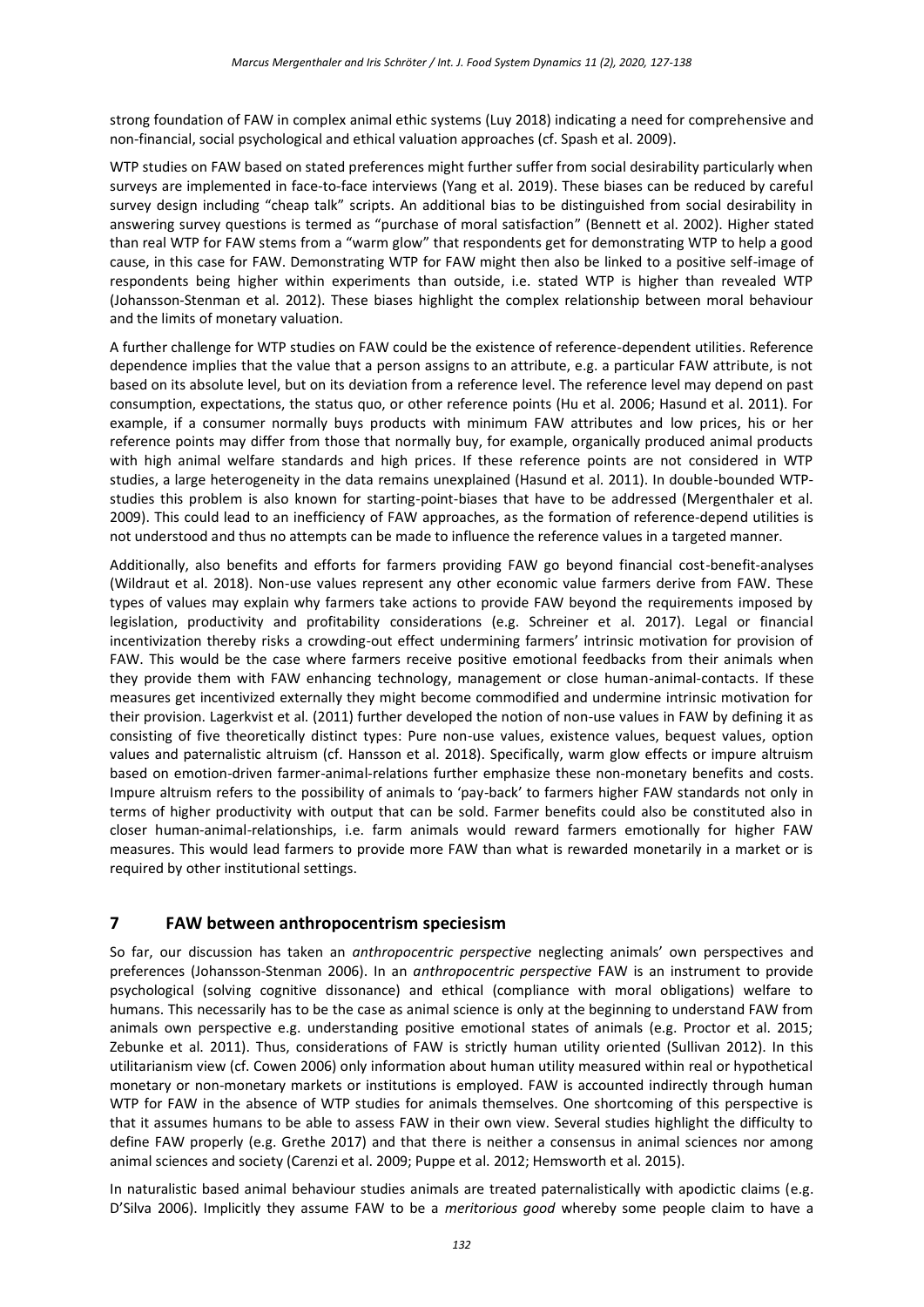strong foundation of FAW in complex animal ethic systems (Luy 2018) indicating a need for comprehensive and non-financial, social psychological and ethical valuation approaches (cf. Spash et al. 2009).

WTP studies on FAW based on stated preferences might further suffer from social desirability particularly when surveys are implemented in face-to-face interviews (Yang et al. 2019). These biases can be reduced by careful survey design including "cheap talk" scripts. An additional bias to be distinguished from social desirability in answering survey questions is termed as "purchase of moral satisfaction" (Bennett et al. 2002). Higher stated than real WTP for FAW stems from a "warm glow" that respondents get for demonstrating WTP to help a good cause, in this case for FAW. Demonstrating WTP for FAW might then also be linked to a positive self-image of respondents being higher within experiments than outside, i.e. stated WTP is higher than revealed WTP (Johansson-Stenman et al. 2012). These biases highlight the complex relationship between moral behaviour and the limits of monetary valuation.

A further challenge for WTP studies on FAW could be the existence of reference-dependent utilities. Reference dependence implies that the value that a person assigns to an attribute, e.g. a particular FAW attribute, is not based on its absolute level, but on its deviation from a reference level. The reference level may depend on past consumption, expectations, the status quo, or other reference points (Hu et al. 2006; Hasund et al. 2011). For example, if a consumer normally buys products with minimum FAW attributes and low prices, his or her reference points may differ from those that normally buy, for example, organically produced animal products with high animal welfare standards and high prices. If these reference points are not considered in WTP studies, a large heterogeneity in the data remains unexplained (Hasund et al. 2011). In double-bounded WTPstudies this problem is also known for starting-point-biases that have to be addressed (Mergenthaler et al. 2009). This could lead to an inefficiency of FAW approaches, as the formation of reference-depend utilities is not understood and thus no attempts can be made to influence the reference values in a targeted manner.

Additionally, also benefits and efforts for farmers providing FAW go beyond financial cost-benefit-analyses (Wildraut et al. 2018). Non-use values represent any other economic value farmers derive from FAW. These types of values may explain why farmers take actions to provide FAW beyond the requirements imposed by legislation, productivity and profitability considerations (e.g. Schreiner et al. 2017). Legal or financial incentivization thereby risks a crowding-out effect undermining farmers' intrinsic motivation for provision of FAW. This would be the case where farmers receive positive emotional feedbacks from their animals when they provide them with FAW enhancing technology, management or close human-animal-contacts. If these measures get incentivized externally they might become commodified and undermine intrinsic motivation for their provision. Lagerkvist et al. (2011) further developed the notion of non-use values in FAW by defining it as consisting of five theoretically distinct types: Pure non-use values, existence values, bequest values, option values and paternalistic altruism (cf. Hansson et al. 2018). Specifically, warm glow effects or impure altruism based on emotion-driven farmer-animal-relations further emphasize these non-monetary benefits and costs. Impure altruism refers to the possibility of animals to 'pay-back' to farmers higher FAW standards not only in terms of higher productivity with output that can be sold. Farmer benefits could also be constituted also in closer human-animal-relationships, i.e. farm animals would reward farmers emotionally for higher FAW measures. This would lead farmers to provide more FAW than what is rewarded monetarily in a market or is required by other institutional settings.

## **7 FAW between anthropocentrism speciesism**

So far, our discussion has taken an *anthropocentric perspective* neglecting animals' own perspectives and preferences (Johansson-Stenman 2006). In an *anthropocentric perspective* FAW is an instrument to provide psychological (solving cognitive dissonance) and ethical (compliance with moral obligations) welfare to humans. This necessarily has to be the case as animal science is only at the beginning to understand FAW from animals own perspective e.g. understanding positive emotional states of animals (e.g. Proctor et al. 2015; Zebunke et al. 2011). Thus, considerations of FAW is strictly human utility oriented (Sullivan 2012). In this utilitarianism view (cf. Cowen 2006) only information about human utility measured within real or hypothetical monetary or non-monetary markets or institutions is employed. FAW is accounted indirectly through human WTP for FAW in the absence of WTP studies for animals themselves. One shortcoming of this perspective is that it assumes humans to be able to assess FAW in their own view. Several studies highlight the difficulty to define FAW properly (e.g. Grethe 2017) and that there is neither a consensus in animal sciences nor among animal sciences and society (Carenzi et al. 2009; Puppe et al. 2012; Hemsworth et al. 2015).

In naturalistic based animal behaviour studies animals are treated paternalistically with apodictic claims (e.g. D'Silva 2006). Implicitly they assume FAW to be a *meritorious good* whereby some people claim to have a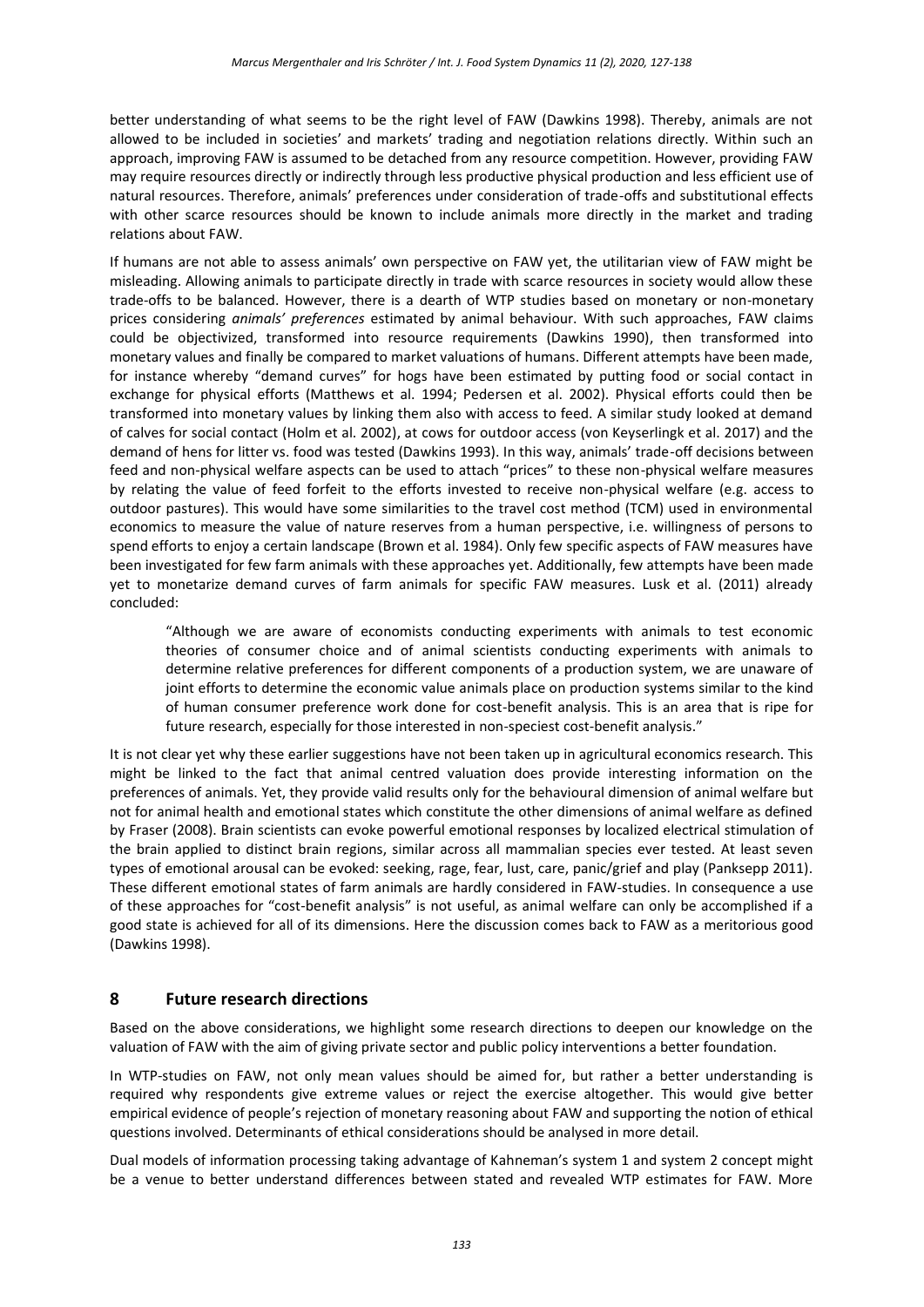better understanding of what seems to be the right level of FAW (Dawkins 1998). Thereby, animals are not allowed to be included in societies' and markets' trading and negotiation relations directly. Within such an approach, improving FAW is assumed to be detached from any resource competition. However, providing FAW may require resources directly or indirectly through less productive physical production and less efficient use of natural resources. Therefore, animals' preferences under consideration of trade-offs and substitutional effects with other scarce resources should be known to include animals more directly in the market and trading relations about FAW.

If humans are not able to assess animals' own perspective on FAW yet, the utilitarian view of FAW might be misleading. Allowing animals to participate directly in trade with scarce resources in society would allow these trade-offs to be balanced. However, there is a dearth of WTP studies based on monetary or non-monetary prices considering *animals' preferences* estimated by animal behaviour. With such approaches, FAW claims could be objectivized, transformed into resource requirements (Dawkins 1990), then transformed into monetary values and finally be compared to market valuations of humans. Different attempts have been made, for instance whereby "demand curves" for hogs have been estimated by putting food or social contact in exchange for physical efforts (Matthews et al. 1994; Pedersen et al. 2002). Physical efforts could then be transformed into monetary values by linking them also with access to feed. A similar study looked at demand of calves for social contact (Holm et al. 2002), at cows for outdoor access (von Keyserlingk et al. 2017) and the demand of hens for litter vs. food was tested (Dawkins 1993). In this way, animals' trade-off decisions between feed and non-physical welfare aspects can be used to attach "prices" to these non-physical welfare measures by relating the value of feed forfeit to the efforts invested to receive non-physical welfare (e.g. access to outdoor pastures). This would have some similarities to the travel cost method (TCM) used in environmental economics to measure the value of nature reserves from a human perspective, i.e. willingness of persons to spend efforts to enjoy a certain landscape (Brown et al. 1984). Only few specific aspects of FAW measures have been investigated for few farm animals with these approaches yet. Additionally, few attempts have been made yet to monetarize demand curves of farm animals for specific FAW measures. Lusk et al. (2011) already concluded:

"Although we are aware of economists conducting experiments with animals to test economic theories of consumer choice and of animal scientists conducting experiments with animals to determine relative preferences for different components of a production system, we are unaware of joint efforts to determine the economic value animals place on production systems similar to the kind of human consumer preference work done for cost-benefit analysis. This is an area that is ripe for future research, especially for those interested in non-speciest cost-benefit analysis."

It is not clear yet why these earlier suggestions have not been taken up in agricultural economics research. This might be linked to the fact that animal centred valuation does provide interesting information on the preferences of animals. Yet, they provide valid results only for the behavioural dimension of animal welfare but not for animal health and emotional states which constitute the other dimensions of animal welfare as defined by Fraser (2008). Brain scientists can evoke powerful emotional responses by localized electrical stimulation of the brain applied to distinct brain regions, similar across all mammalian species ever tested. At least seven types of emotional arousal can be evoked: seeking, rage, fear, lust, care, panic/grief and play (Panksepp 2011). These different emotional states of farm animals are hardly considered in FAW-studies. In consequence a use of these approaches for "cost-benefit analysis" is not useful, as animal welfare can only be accomplished if a good state is achieved for all of its dimensions. Here the discussion comes back to FAW as a meritorious good (Dawkins 1998).

## **8 Future research directions**

Based on the above considerations, we highlight some research directions to deepen our knowledge on the valuation of FAW with the aim of giving private sector and public policy interventions a better foundation.

In WTP-studies on FAW, not only mean values should be aimed for, but rather a better understanding is required why respondents give extreme values or reject the exercise altogether. This would give better empirical evidence of people's rejection of monetary reasoning about FAW and supporting the notion of ethical questions involved. Determinants of ethical considerations should be analysed in more detail.

Dual models of information processing taking advantage of Kahneman's system 1 and system 2 concept might be a venue to better understand differences between stated and revealed WTP estimates for FAW. More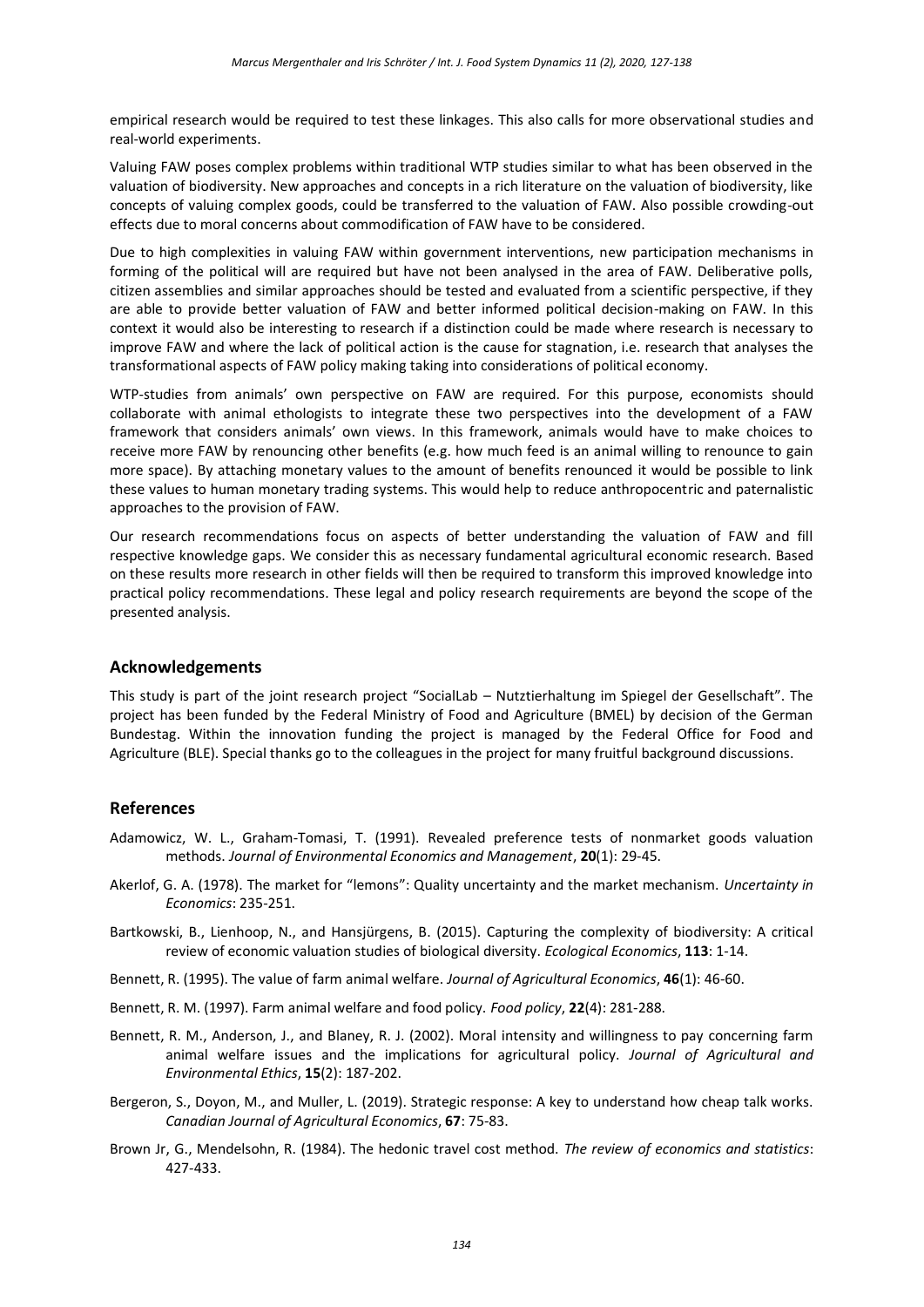empirical research would be required to test these linkages. This also calls for more observational studies and real-world experiments.

Valuing FAW poses complex problems within traditional WTP studies similar to what has been observed in the valuation of biodiversity. New approaches and concepts in a rich literature on the valuation of biodiversity, like concepts of valuing complex goods, could be transferred to the valuation of FAW. Also possible crowding-out effects due to moral concerns about commodification of FAW have to be considered.

Due to high complexities in valuing FAW within government interventions, new participation mechanisms in forming of the political will are required but have not been analysed in the area of FAW. Deliberative polls, citizen assemblies and similar approaches should be tested and evaluated from a scientific perspective, if they are able to provide better valuation of FAW and better informed political decision-making on FAW. In this context it would also be interesting to research if a distinction could be made where research is necessary to improve FAW and where the lack of political action is the cause for stagnation, i.e. research that analyses the transformational aspects of FAW policy making taking into considerations of political economy.

WTP-studies from animals' own perspective on FAW are required. For this purpose, economists should collaborate with animal ethologists to integrate these two perspectives into the development of a FAW framework that considers animals' own views. In this framework, animals would have to make choices to receive more FAW by renouncing other benefits (e.g. how much feed is an animal willing to renounce to gain more space). By attaching monetary values to the amount of benefits renounced it would be possible to link these values to human monetary trading systems. This would help to reduce anthropocentric and paternalistic approaches to the provision of FAW.

Our research recommendations focus on aspects of better understanding the valuation of FAW and fill respective knowledge gaps. We consider this as necessary fundamental agricultural economic research. Based on these results more research in other fields will then be required to transform this improved knowledge into practical policy recommendations. These legal and policy research requirements are beyond the scope of the presented analysis.

## **Acknowledgements**

This study is part of the joint research project "SocialLab – Nutztierhaltung im Spiegel der Gesellschaft". The project has been funded by the Federal Ministry of Food and Agriculture (BMEL) by decision of the German Bundestag. Within the innovation funding the project is managed by the Federal Office for Food and Agriculture (BLE). Special thanks go to the colleagues in the project for many fruitful background discussions.

## **References**

- Adamowicz, W. L., Graham-Tomasi, T. (1991). Revealed preference tests of nonmarket goods valuation methods. *Journal of Environmental Economics and Management*, **20**(1): 29-45.
- Akerlof, G. A. (1978). The market for "lemons": Quality uncertainty and the market mechanism. *Uncertainty in Economics*: 235-251.
- Bartkowski, B., Lienhoop, N., and Hansjürgens, B. (2015). Capturing the complexity of biodiversity: A critical review of economic valuation studies of biological diversity. *Ecological Economics*, **113**: 1-14.
- Bennett, R. (1995). The value of farm animal welfare. *Journal of Agricultural Economics*, **46**(1): 46-60.
- Bennett, R. M. (1997). Farm animal welfare and food policy. *Food policy*, **22**(4): 281-288.
- Bennett, R. M., Anderson, J., and Blaney, R. J. (2002). Moral intensity and willingness to pay concerning farm animal welfare issues and the implications for agricultural policy. *Journal of Agricultural and Environmental Ethics*, **15**(2): 187-202.
- Bergeron, S., Doyon, M., and Muller, L. (2019). Strategic response: A key to understand how cheap talk works. *Canadian Journal of Agricultural Economics*, **67**: 75-83.
- Brown Jr, G., Mendelsohn, R. (1984). The hedonic travel cost method. *The review of economics and statistics*: 427-433.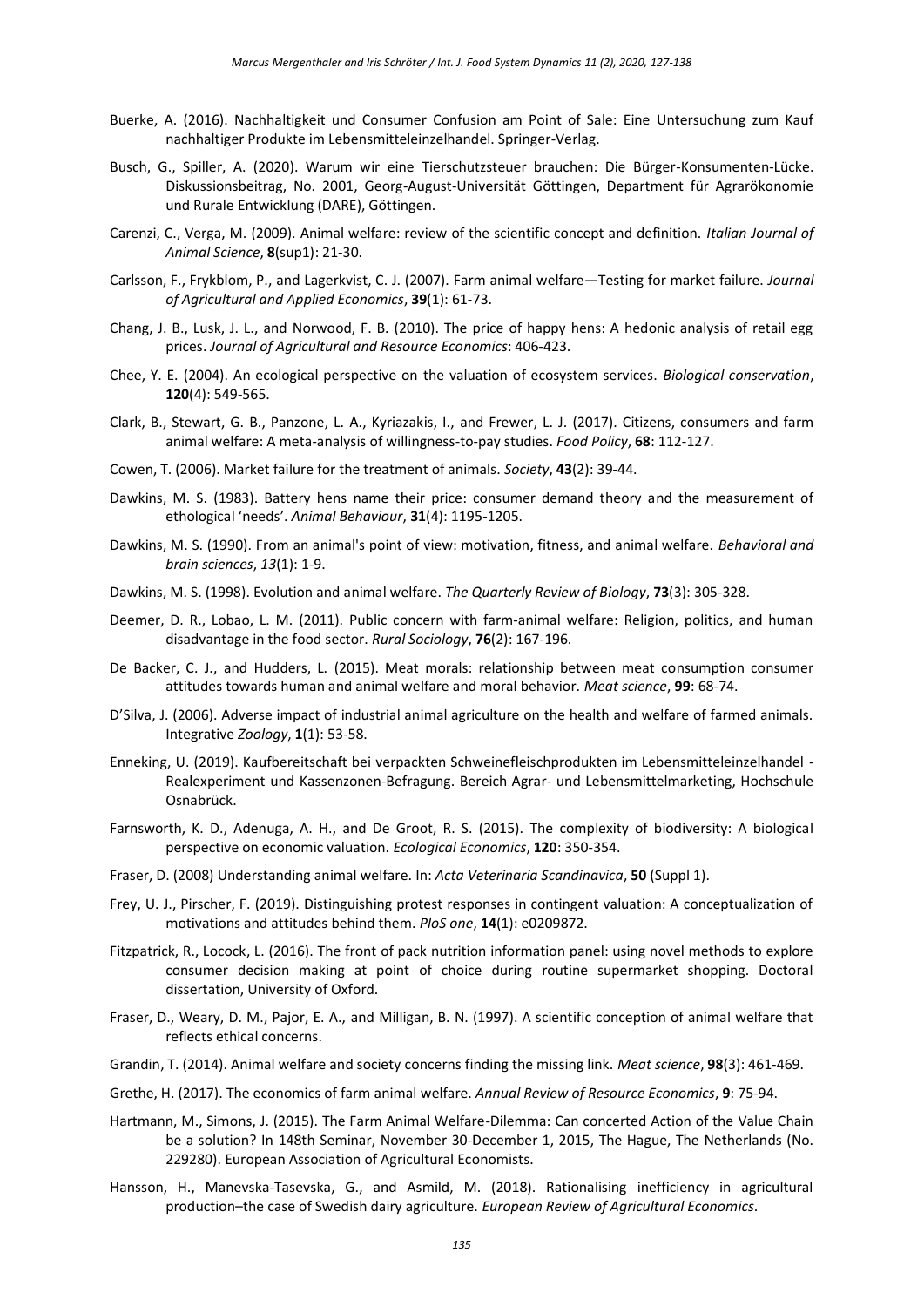- Buerke, A. (2016). Nachhaltigkeit und Consumer Confusion am Point of Sale: Eine Untersuchung zum Kauf nachhaltiger Produkte im Lebensmitteleinzelhandel. Springer-Verlag.
- Busch, G., Spiller, A. (2020). Warum wir eine Tierschutzsteuer brauchen: Die Bürger-Konsumenten-Lücke. Diskussionsbeitrag, No. 2001, Georg-August-Universität Göttingen, Department für Agrarökonomie und Rurale Entwicklung (DARE), Göttingen.
- Carenzi, C., Verga, M. (2009). Animal welfare: review of the scientific concept and definition. *Italian Journal of Animal Science*, **8**(sup1): 21-30.
- Carlsson, F., Frykblom, P., and Lagerkvist, C. J. (2007). Farm animal welfare—Testing for market failure. *Journal of Agricultural and Applied Economics*, **39**(1): 61-73.
- Chang, J. B., Lusk, J. L., and Norwood, F. B. (2010). The price of happy hens: A hedonic analysis of retail egg prices. *Journal of Agricultural and Resource Economics*: 406-423.
- Chee, Y. E. (2004). An ecological perspective on the valuation of ecosystem services. *Biological conservation*, **120**(4): 549-565.
- Clark, B., Stewart, G. B., Panzone, L. A., Kyriazakis, I., and Frewer, L. J. (2017). Citizens, consumers and farm animal welfare: A meta-analysis of willingness-to-pay studies. *Food Policy*, **68**: 112-127.
- Cowen, T. (2006). Market failure for the treatment of animals. *Society*, **43**(2): 39-44.
- Dawkins, M. S. (1983). Battery hens name their price: consumer demand theory and the measurement of ethological 'needs'. *Animal Behaviour*, **31**(4): 1195-1205.
- Dawkins, M. S. (1990). From an animal's point of view: motivation, fitness, and animal welfare. *Behavioral and brain sciences*, *13*(1): 1-9.
- Dawkins, M. S. (1998). Evolution and animal welfare. *The Quarterly Review of Biology*, **73**(3): 305-328.
- Deemer, D. R., Lobao, L. M. (2011). Public concern with farm-animal welfare: Religion, politics, and human disadvantage in the food sector. *Rural Sociology*, **76**(2): 167-196.
- De Backer, C. J., and Hudders, L. (2015). Meat morals: relationship between meat consumption consumer attitudes towards human and animal welfare and moral behavior. *Meat science*, **99**: 68-74.
- D'Silva, J. (2006). Adverse impact of industrial animal agriculture on the health and welfare of farmed animals. Integrative *Zoology*, **1**(1): 53-58.
- Enneking, U. (2019). Kaufbereitschaft bei verpackten Schweinefleischprodukten im Lebensmitteleinzelhandel Realexperiment und Kassenzonen-Befragung. Bereich Agrar- und Lebensmittelmarketing, Hochschule Osnabrück.
- Farnsworth, K. D., Adenuga, A. H., and De Groot, R. S. (2015). The complexity of biodiversity: A biological perspective on economic valuation. *Ecological Economics*, **120**: 350-354.
- Fraser, D. (2008) Understanding animal welfare. In: *Acta Veterinaria Scandinavica*, **50** (Suppl 1).
- Frey, U. J., Pirscher, F. (2019). Distinguishing protest responses in contingent valuation: A conceptualization of motivations and attitudes behind them. *PloS one*, **14**(1): e0209872.
- Fitzpatrick, R., Locock, L. (2016). The front of pack nutrition information panel: using novel methods to explore consumer decision making at point of choice during routine supermarket shopping. Doctoral dissertation, University of Oxford.
- Fraser, D., Weary, D. M., Pajor, E. A., and Milligan, B. N. (1997). A scientific conception of animal welfare that reflects ethical concerns.
- Grandin, T. (2014). Animal welfare and society concerns finding the missing link. *Meat science*, **98**(3): 461-469.
- Grethe, H. (2017). The economics of farm animal welfare. *Annual Review of Resource Economics*, **9**: 75-94.
- Hartmann, M., Simons, J. (2015). The Farm Animal Welfare-Dilemma: Can concerted Action of the Value Chain be a solution? In 148th Seminar, November 30-December 1, 2015, The Hague, The Netherlands (No. 229280). European Association of Agricultural Economists.
- Hansson, H., Manevska-Tasevska, G., and Asmild, M. (2018). Rationalising inefficiency in agricultural production–the case of Swedish dairy agriculture. *European Review of Agricultural Economics*.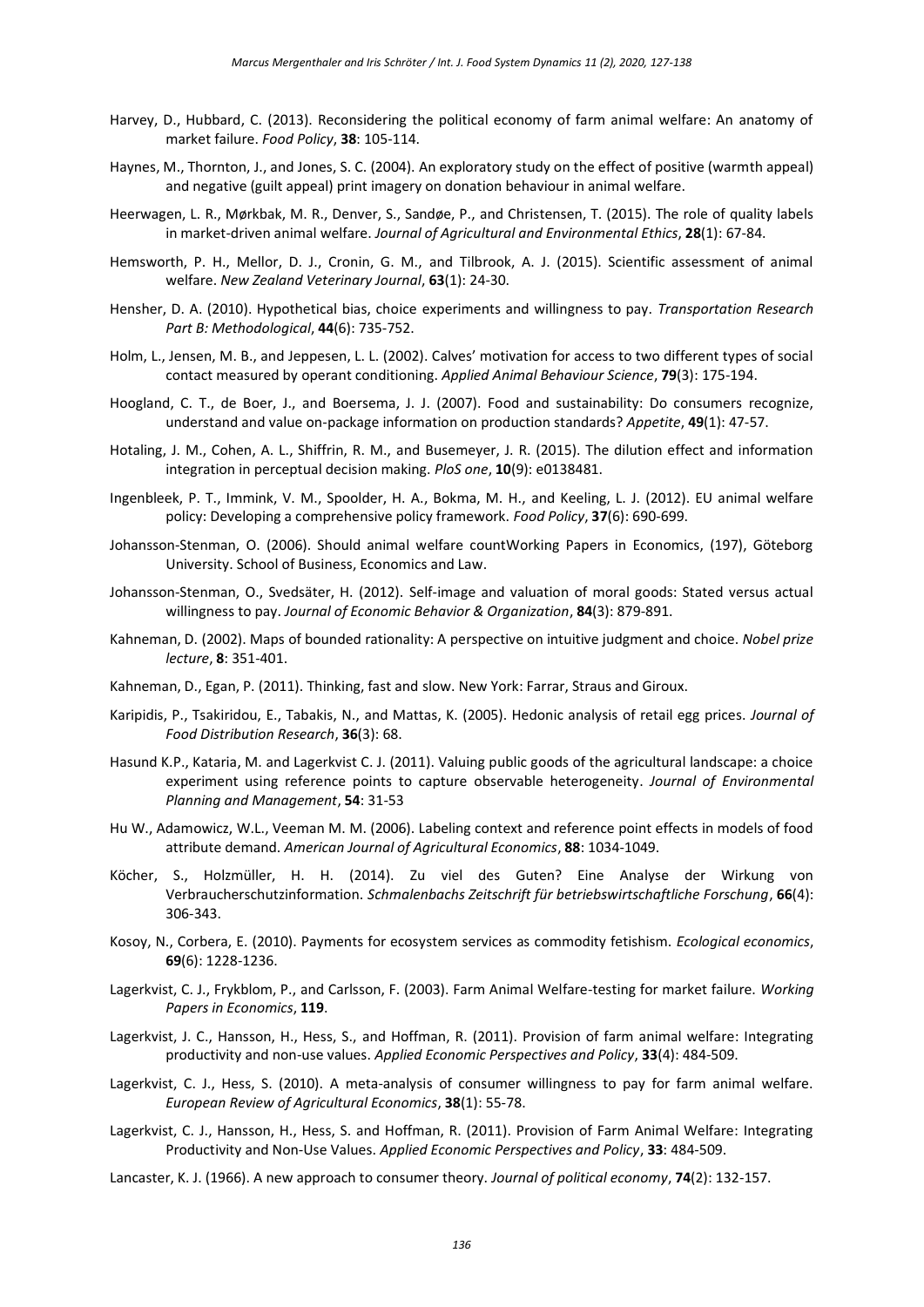- Harvey, D., Hubbard, C. (2013). Reconsidering the political economy of farm animal welfare: An anatomy of market failure. *Food Policy*, **38**: 105-114.
- Haynes, M., Thornton, J., and Jones, S. C. (2004). An exploratory study on the effect of positive (warmth appeal) and negative (guilt appeal) print imagery on donation behaviour in animal welfare.
- Heerwagen, L. R., Mørkbak, M. R., Denver, S., Sandøe, P., and Christensen, T. (2015). The role of quality labels in market-driven animal welfare. *Journal of Agricultural and Environmental Ethics*, **28**(1): 67-84.
- Hemsworth, P. H., Mellor, D. J., Cronin, G. M., and Tilbrook, A. J. (2015). Scientific assessment of animal welfare. *New Zealand Veterinary Journal*, **63**(1): 24-30.
- Hensher, D. A. (2010). Hypothetical bias, choice experiments and willingness to pay. *Transportation Research Part B: Methodological*, **44**(6): 735-752.
- Holm, L., Jensen, M. B., and Jeppesen, L. L. (2002). Calves' motivation for access to two different types of social contact measured by operant conditioning. *Applied Animal Behaviour Science*, **79**(3): 175-194.
- Hoogland, C. T., de Boer, J., and Boersema, J. J. (2007). Food and sustainability: Do consumers recognize, understand and value on-package information on production standards? *Appetite*, **49**(1): 47-57.
- Hotaling, J. M., Cohen, A. L., Shiffrin, R. M., and Busemeyer, J. R. (2015). The dilution effect and information integration in perceptual decision making. *PloS one*, **10**(9): e0138481.
- Ingenbleek, P. T., Immink, V. M., Spoolder, H. A., Bokma, M. H., and Keeling, L. J. (2012). EU animal welfare policy: Developing a comprehensive policy framework. *Food Policy*, **37**(6): 690-699.
- Johansson-Stenman, O. (2006). Should animal welfare countWorking Papers in Economics, (197), Göteborg University. School of Business, Economics and Law.
- Johansson-Stenman, O., Svedsäter, H. (2012). Self-image and valuation of moral goods: Stated versus actual willingness to pay. *Journal of Economic Behavior & Organization*, **84**(3): 879-891.
- Kahneman, D. (2002). Maps of bounded rationality: A perspective on intuitive judgment and choice. *Nobel prize lecture*, **8**: 351-401.
- Kahneman, D., Egan, P. (2011). Thinking, fast and slow. New York: Farrar, Straus and Giroux.
- Karipidis, P., Tsakiridou, E., Tabakis, N., and Mattas, K. (2005). Hedonic analysis of retail egg prices. *Journal of Food Distribution Research*, **36**(3): 68.
- Hasund K.P., Kataria, M. and Lagerkvist C. J. (2011). Valuing public goods of the agricultural landscape: a choice experiment using reference points to capture observable heterogeneity. *Journal of Environmental Planning and Management*, **54**: 31-53
- Hu W., Adamowicz, W.L., Veeman M. M. (2006). Labeling context and reference point effects in models of food attribute demand. *American Journal of Agricultural Economics*, **88**: 1034-1049.
- Köcher, S., Holzmüller, H. H. (2014). Zu viel des Guten? Eine Analyse der Wirkung von Verbraucherschutzinformation. *Schmalenbachs Zeitschrift für betriebswirtschaftliche Forschung*, **66**(4): 306-343.
- Kosoy, N., Corbera, E. (2010). Payments for ecosystem services as commodity fetishism. *Ecological economics*, **69**(6): 1228-1236.
- Lagerkvist, C. J., Frykblom, P., and Carlsson, F. (2003). Farm Animal Welfare-testing for market failure. *Working Papers in Economics*, **119**.
- Lagerkvist, J. C., Hansson, H., Hess, S., and Hoffman, R. (2011). Provision of farm animal welfare: Integrating productivity and non-use values. *Applied Economic Perspectives and Policy*, **33**(4): 484-509.
- Lagerkvist, C. J., Hess, S. (2010). A meta-analysis of consumer willingness to pay for farm animal welfare. *European Review of Agricultural Economics*, **38**(1): 55-78.
- Lagerkvist, C. J., Hansson, H., Hess, S. and Hoffman, R. (2011). Provision of Farm Animal Welfare: Integrating Productivity and Non-Use Values. *Applied Economic Perspectives and Policy*, **33**: 484-509.
- Lancaster, K. J. (1966). A new approach to consumer theory. *Journal of political economy*, **74**(2): 132-157.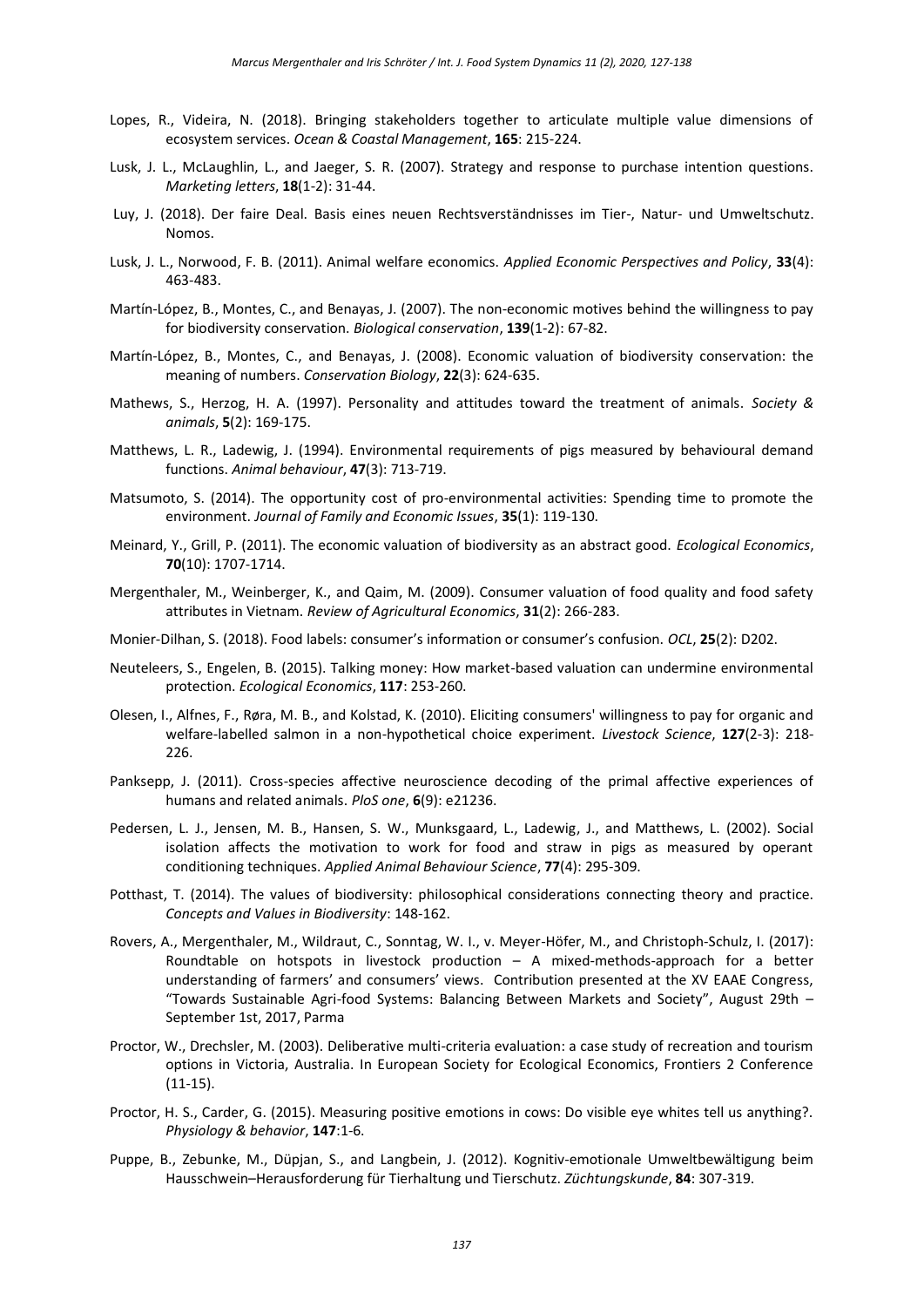- Lopes, R., Videira, N. (2018). Bringing stakeholders together to articulate multiple value dimensions of ecosystem services. *Ocean & Coastal Management*, **165**: 215-224.
- Lusk, J. L., McLaughlin, L., and Jaeger, S. R. (2007). Strategy and response to purchase intention questions. *Marketing letters*, **18**(1-2): 31-44.
- Luy, J. (2018). Der faire Deal. Basis eines neuen Rechtsverständnisses im Tier-, Natur- und Umweltschutz. Nomos.
- Lusk, J. L., Norwood, F. B. (2011). Animal welfare economics. *Applied Economic Perspectives and Policy*, **33**(4): 463-483.
- Martín-López, B., Montes, C., and Benayas, J. (2007). The non-economic motives behind the willingness to pay for biodiversity conservation. *Biological conservation*, **139**(1-2): 67-82.
- Martín-López, B., Montes, C., and Benayas, J. (2008). Economic valuation of biodiversity conservation: the meaning of numbers. *Conservation Biology*, **22**(3): 624-635.
- Mathews, S., Herzog, H. A. (1997). Personality and attitudes toward the treatment of animals. *Society & animals*, **5**(2): 169-175.
- Matthews, L. R., Ladewig, J. (1994). Environmental requirements of pigs measured by behavioural demand functions. *Animal behaviour*, **47**(3): 713-719.
- Matsumoto, S. (2014). The opportunity cost of pro-environmental activities: Spending time to promote the environment. *Journal of Family and Economic Issues*, **35**(1): 119-130.
- Meinard, Y., Grill, P. (2011). The economic valuation of biodiversity as an abstract good. *Ecological Economics*, **70**(10): 1707-1714.
- Mergenthaler, M., Weinberger, K., and Qaim, M. (2009). Consumer valuation of food quality and food safety attributes in Vietnam. *Review of Agricultural Economics*, **31**(2): 266-283.
- Monier-Dilhan, S. (2018). Food labels: consumer's information or consumer's confusion. *OCL*, **25**(2): D202.
- Neuteleers, S., Engelen, B. (2015). Talking money: How market-based valuation can undermine environmental protection. *Ecological Economics*, **117**: 253-260.
- Olesen, I., Alfnes, F., Røra, M. B., and Kolstad, K. (2010). Eliciting consumers' willingness to pay for organic and welfare-labelled salmon in a non-hypothetical choice experiment. *Livestock Science*, **127**(2-3): 218- 226.
- Panksepp, J. (2011). Cross-species affective neuroscience decoding of the primal affective experiences of humans and related animals. *PloS one*, **6**(9): e21236.
- Pedersen, L. J., Jensen, M. B., Hansen, S. W., Munksgaard, L., Ladewig, J., and Matthews, L. (2002). Social isolation affects the motivation to work for food and straw in pigs as measured by operant conditioning techniques. *Applied Animal Behaviour Science*, **77**(4): 295-309.
- Potthast, T. (2014). The values of biodiversity: philosophical considerations connecting theory and practice. *Concepts and Values in Biodiversity*: 148-162.
- Rovers, A., Mergenthaler, M., Wildraut, C., Sonntag, W. I., v. Meyer-Höfer, M., and Christoph-Schulz, I. (2017): Roundtable on hotspots in livestock production – A mixed-methods-approach for a better understanding of farmers' and consumers' views. Contribution presented at the XV EAAE Congress, "Towards Sustainable Agri-food Systems: Balancing Between Markets and Society", August 29th – September 1st, 2017, Parma
- Proctor, W., Drechsler, M. (2003). Deliberative multi-criteria evaluation: a case study of recreation and tourism options in Victoria, Australia. In European Society for Ecological Economics, Frontiers 2 Conference (11-15).
- Proctor, H. S., Carder, G. (2015). Measuring positive emotions in cows: Do visible eye whites tell us anything?. *Physiology & behavior*, **147**:1-6.
- Puppe, B., Zebunke, M., Düpjan, S., and Langbein, J. (2012). Kognitiv-emotionale Umweltbewältigung beim Hausschwein–Herausforderung für Tierhaltung und Tierschutz. *Züchtungskunde*, **84**: 307-319.